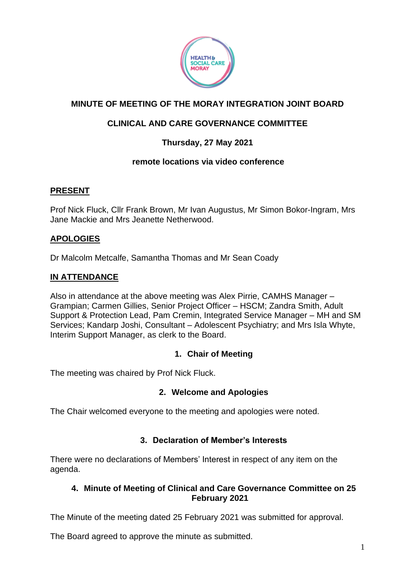

# **MINUTE OF MEETING OF THE MORAY INTEGRATION JOINT BOARD**

# **CLINICAL AND CARE GOVERNANCE COMMITTEE**

# **Thursday, 27 May 2021**

# **remote locations via video conference**

# **PRESENT**

Prof Nick Fluck, Cllr Frank Brown, Mr Ivan Augustus, Mr Simon Bokor-Ingram, Mrs Jane Mackie and Mrs Jeanette Netherwood.

# **APOLOGIES**

Dr Malcolm Metcalfe, Samantha Thomas and Mr Sean Coady

#### **IN ATTENDANCE**

Also in attendance at the above meeting was Alex Pirrie, CAMHS Manager – Grampian; Carmen Gillies, Senior Project Officer – HSCM; Zandra Smith, Adult Support & Protection Lead, Pam Cremin, Integrated Service Manager – MH and SM Services; Kandarp Joshi, Consultant – Adolescent Psychiatry; and Mrs Isla Whyte, Interim Support Manager, as clerk to the Board.

# **1. Chair of Meeting**

The meeting was chaired by Prof Nick Fluck.

#### **2. Welcome and Apologies**

The Chair welcomed everyone to the meeting and apologies were noted.

# **3. Declaration of Member's Interests**

There were no declarations of Members' Interest in respect of any item on the agenda.

#### **4. Minute of Meeting of Clinical and Care Governance Committee on 25 February 2021**

The Minute of the meeting dated 25 February 2021 was submitted for approval.

The Board agreed to approve the minute as submitted.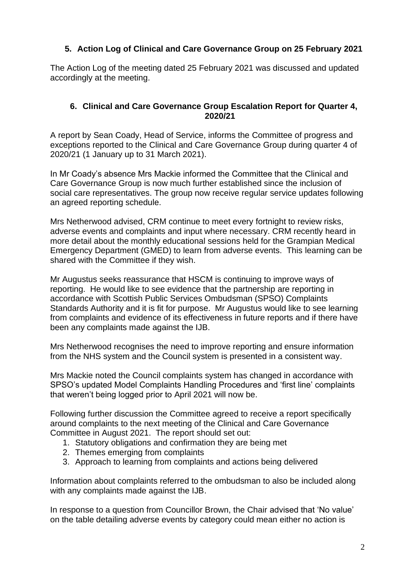# **5. Action Log of Clinical and Care Governance Group on 25 February 2021**

The Action Log of the meeting dated 25 February 2021 was discussed and updated accordingly at the meeting.

#### **6. Clinical and Care Governance Group Escalation Report for Quarter 4, 2020/21**

A report by Sean Coady, Head of Service, informs the Committee of progress and exceptions reported to the Clinical and Care Governance Group during quarter 4 of 2020/21 (1 January up to 31 March 2021).

In Mr Coady's absence Mrs Mackie informed the Committee that the Clinical and Care Governance Group is now much further established since the inclusion of social care representatives. The group now receive regular service updates following an agreed reporting schedule.

Mrs Netherwood advised, CRM continue to meet every fortnight to review risks, adverse events and complaints and input where necessary. CRM recently heard in more detail about the monthly educational sessions held for the Grampian Medical Emergency Department (GMED) to learn from adverse events. This learning can be shared with the Committee if they wish.

Mr Augustus seeks reassurance that HSCM is continuing to improve ways of reporting. He would like to see evidence that the partnership are reporting in accordance with Scottish Public Services Ombudsman (SPSO) Complaints Standards Authority and it is fit for purpose. Mr Augustus would like to see learning from complaints and evidence of its effectiveness in future reports and if there have been any complaints made against the IJB.

Mrs Netherwood recognises the need to improve reporting and ensure information from the NHS system and the Council system is presented in a consistent way.

Mrs Mackie noted the Council complaints system has changed in accordance with SPSO's updated Model Complaints Handling Procedures and 'first line' complaints that weren't being logged prior to April 2021 will now be.

Following further discussion the Committee agreed to receive a report specifically around complaints to the next meeting of the Clinical and Care Governance Committee in August 2021. The report should set out:

- 1. Statutory obligations and confirmation they are being met
- 2. Themes emerging from complaints
- 3. Approach to learning from complaints and actions being delivered

Information about complaints referred to the ombudsman to also be included along with any complaints made against the IJB.

In response to a question from Councillor Brown, the Chair advised that 'No value' on the table detailing adverse events by category could mean either no action is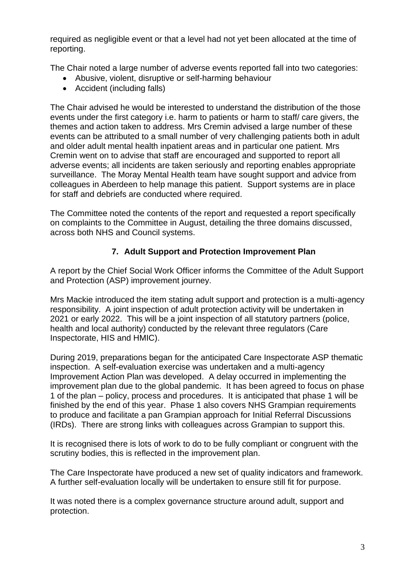required as negligible event or that a level had not yet been allocated at the time of reporting.

The Chair noted a large number of adverse events reported fall into two categories:

- Abusive, violent, disruptive or self-harming behaviour
- Accident (including falls)

The Chair advised he would be interested to understand the distribution of the those events under the first category i.e. harm to patients or harm to staff/ care givers, the themes and action taken to address. Mrs Cremin advised a large number of these events can be attributed to a small number of very challenging patients both in adult and older adult mental health inpatient areas and in particular one patient. Mrs Cremin went on to advise that staff are encouraged and supported to report all adverse events; all incidents are taken seriously and reporting enables appropriate surveillance. The Moray Mental Health team have sought support and advice from colleagues in Aberdeen to help manage this patient. Support systems are in place for staff and debriefs are conducted where required.

The Committee noted the contents of the report and requested a report specifically on complaints to the Committee in August, detailing the three domains discussed, across both NHS and Council systems.

# **7. Adult Support and Protection Improvement Plan**

A report by the Chief Social Work Officer informs the Committee of the Adult Support and Protection (ASP) improvement journey.

Mrs Mackie introduced the item stating adult support and protection is a multi-agency responsibility. A joint inspection of adult protection activity will be undertaken in 2021 or early 2022. This will be a joint inspection of all statutory partners (police, health and local authority) conducted by the relevant three regulators (Care Inspectorate, HIS and HMIC).

During 2019, preparations began for the anticipated Care Inspectorate ASP thematic inspection. A self-evaluation exercise was undertaken and a multi-agency Improvement Action Plan was developed. A delay occurred in implementing the improvement plan due to the global pandemic. It has been agreed to focus on phase 1 of the plan – policy, process and procedures. It is anticipated that phase 1 will be finished by the end of this year. Phase 1 also covers NHS Grampian requirements to produce and facilitate a pan Grampian approach for Initial Referral Discussions (IRDs). There are strong links with colleagues across Grampian to support this.

It is recognised there is lots of work to do to be fully compliant or congruent with the scrutiny bodies, this is reflected in the improvement plan.

The Care Inspectorate have produced a new set of quality indicators and framework. A further self-evaluation locally will be undertaken to ensure still fit for purpose.

It was noted there is a complex governance structure around adult, support and protection.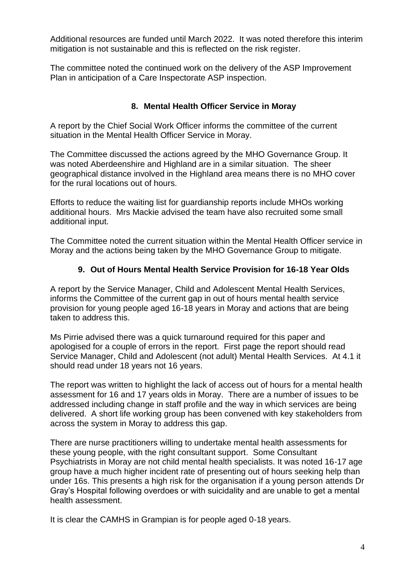Additional resources are funded until March 2022. It was noted therefore this interim mitigation is not sustainable and this is reflected on the risk register.

The committee noted the continued work on the delivery of the ASP Improvement Plan in anticipation of a Care Inspectorate ASP inspection.

# **8. Mental Health Officer Service in Moray**

A report by the Chief Social Work Officer informs the committee of the current situation in the Mental Health Officer Service in Moray.

The Committee discussed the actions agreed by the MHO Governance Group. It was noted Aberdeenshire and Highland are in a similar situation. The sheer geographical distance involved in the Highland area means there is no MHO cover for the rural locations out of hours.

Efforts to reduce the waiting list for guardianship reports include MHOs working additional hours. Mrs Mackie advised the team have also recruited some small additional input.

The Committee noted the current situation within the Mental Health Officer service in Moray and the actions being taken by the MHO Governance Group to mitigate.

# **9. Out of Hours Mental Health Service Provision for 16-18 Year Olds**

A report by the Service Manager, Child and Adolescent Mental Health Services, informs the Committee of the current gap in out of hours mental health service provision for young people aged 16-18 years in Moray and actions that are being taken to address this.

Ms Pirrie advised there was a quick turnaround required for this paper and apologised for a couple of errors in the report. First page the report should read Service Manager, Child and Adolescent (not adult) Mental Health Services. At 4.1 it should read under 18 years not 16 years.

The report was written to highlight the lack of access out of hours for a mental health assessment for 16 and 17 years olds in Moray. There are a number of issues to be addressed including change in staff profile and the way in which services are being delivered. A short life working group has been convened with key stakeholders from across the system in Moray to address this gap.

There are nurse practitioners willing to undertake mental health assessments for these young people, with the right consultant support. Some Consultant Psychiatrists in Moray are not child mental health specialists. It was noted 16-17 age group have a much higher incident rate of presenting out of hours seeking help than under 16s. This presents a high risk for the organisation if a young person attends Dr Gray's Hospital following overdoes or with suicidality and are unable to get a mental health assessment.

It is clear the CAMHS in Grampian is for people aged 0-18 years.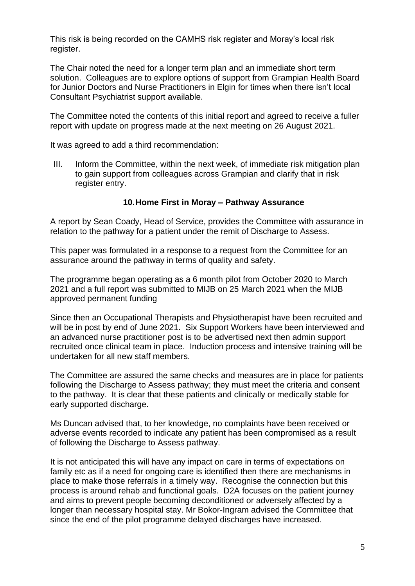This risk is being recorded on the CAMHS risk register and Moray's local risk register.

The Chair noted the need for a longer term plan and an immediate short term solution. Colleagues are to explore options of support from Grampian Health Board for Junior Doctors and Nurse Practitioners in Elgin for times when there isn't local Consultant Psychiatrist support available.

The Committee noted the contents of this initial report and agreed to receive a fuller report with update on progress made at the next meeting on 26 August 2021.

It was agreed to add a third recommendation:

III. Inform the Committee, within the next week, of immediate risk mitigation plan to gain support from colleagues across Grampian and clarify that in risk register entry.

#### **10.Home First in Moray – Pathway Assurance**

A report by Sean Coady, Head of Service, provides the Committee with assurance in relation to the pathway for a patient under the remit of Discharge to Assess.

This paper was formulated in a response to a request from the Committee for an assurance around the pathway in terms of quality and safety.

The programme began operating as a 6 month pilot from October 2020 to March 2021 and a full report was submitted to MIJB on 25 March 2021 when the MIJB approved permanent funding

Since then an Occupational Therapists and Physiotherapist have been recruited and will be in post by end of June 2021. Six Support Workers have been interviewed and an advanced nurse practitioner post is to be advertised next then admin support recruited once clinical team in place. Induction process and intensive training will be undertaken for all new staff members.

The Committee are assured the same checks and measures are in place for patients following the Discharge to Assess pathway; they must meet the criteria and consent to the pathway. It is clear that these patients and clinically or medically stable for early supported discharge.

Ms Duncan advised that, to her knowledge, no complaints have been received or adverse events recorded to indicate any patient has been compromised as a result of following the Discharge to Assess pathway.

It is not anticipated this will have any impact on care in terms of expectations on family etc as if a need for ongoing care is identified then there are mechanisms in place to make those referrals in a timely way. Recognise the connection but this process is around rehab and functional goals. D2A focuses on the patient journey and aims to prevent people becoming deconditioned or adversely affected by a longer than necessary hospital stay. Mr Bokor-Ingram advised the Committee that since the end of the pilot programme delayed discharges have increased.